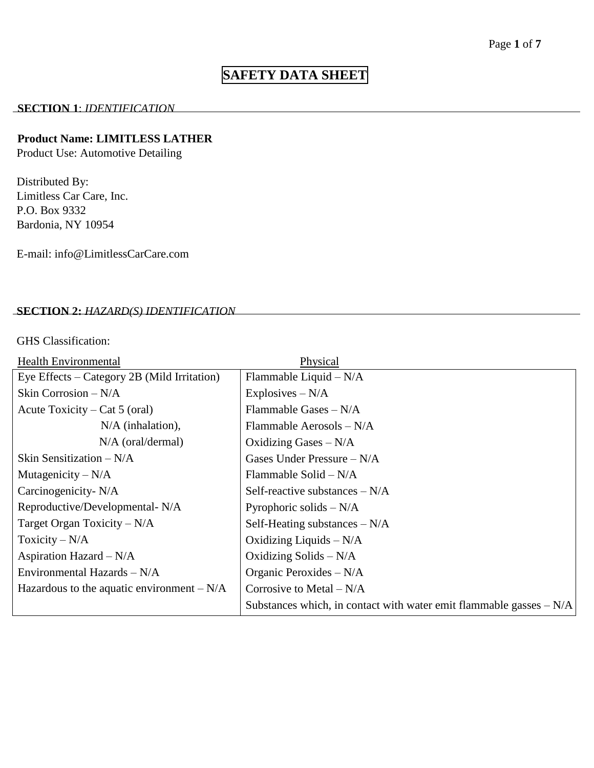# **SAFETY DATA SHEET**

#### **SECTION 1**: *IDENTIFICATION*

## **Product Name: LIMITLESS LATHER**

Product Use: Automotive Detailing

Distributed By: Limitless Car Care, Inc. P.O. Box 9332 Bardonia, NY 10954

E-mail: info@LimitlessCarCare.com

## **SECTION 2:** *HAZARD(S) IDENTIFICATION*

GHS Classification:

| <b>Health Environmental</b>                 | Physical                                                             |
|---------------------------------------------|----------------------------------------------------------------------|
| Eye Effects – Category 2B (Mild Irritation) | Flammable Liquid - N/A                                               |
| Skin Corrosion - N/A                        | Explosives $-N/A$                                                    |
| Acute Toxicity – Cat 5 (oral)               | Flammable Gases - N/A                                                |
| $N/A$ (inhalation),                         | Flammable Aerosols - N/A                                             |
| $N/A$ (oral/dermal)                         | Oxidizing Gases $-N/A$                                               |
| Skin Sensitization $-N/A$                   | Gases Under Pressure $-N/A$                                          |
| Mutagenicity $-N/A$                         | Flammable Solid $-N/A$                                               |
| Carcinogenicity- N/A                        | Self-reactive substances $-N/A$                                      |
| Reproductive/Developmental-N/A              | Pyrophoric solids $-N/A$                                             |
| Target Organ Toxicity $-N/A$                | Self-Heating substances $-N/A$                                       |
| Toxicity – $N/A$                            | Oxidizing Liquids $-N/A$                                             |
| Aspiration Hazard $-N/A$                    | Oxidizing Solids $-N/A$                                              |
| Environmental Hazards - N/A                 | Organic Peroxides $-N/A$                                             |
| Hazardous to the aquatic environment $-N/A$ | Corrosive to Metal $-N/A$                                            |
|                                             | Substances which, in contact with water emit flammable gasses $-N/A$ |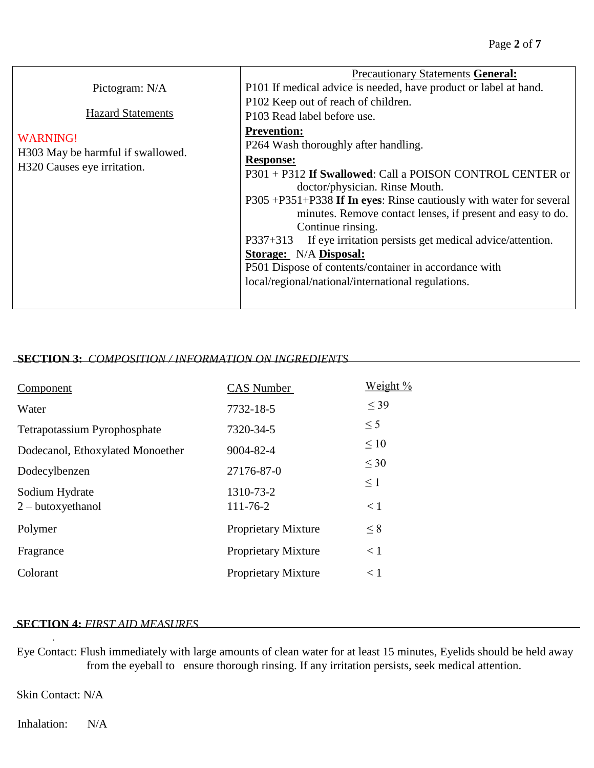|                                   | <b>Precautionary Statements General:</b>                               |
|-----------------------------------|------------------------------------------------------------------------|
| Pictogram: N/A                    | P101 If medical advice is needed, have product or label at hand.       |
|                                   | P102 Keep out of reach of children.                                    |
| <b>Hazard Statements</b>          | P103 Read label before use.                                            |
| <b>WARNING!</b>                   | <b>Prevention:</b>                                                     |
| H303 May be harmful if swallowed. | P264 Wash thoroughly after handling.                                   |
| H320 Causes eye irritation.       | <b>Response:</b>                                                       |
|                                   | P301 + P312 If Swallowed: Call a POISON CONTROL CENTER or              |
|                                   | doctor/physician. Rinse Mouth.                                         |
|                                   | P305+P351+P338 If In eyes: Rinse cautiously with water for several     |
|                                   | minutes. Remove contact lenses, if present and easy to do.             |
|                                   | Continue rinsing.                                                      |
|                                   | If eye irritation persists get medical advice/attention.<br>$P337+313$ |
|                                   | Storage: N/A Disposal:                                                 |
|                                   | P501 Dispose of contents/container in accordance with                  |
|                                   | local/regional/national/international regulations.                     |
|                                   |                                                                        |

## **SECTION 3:** *COMPOSITION / INFORMATION ON INGREDIENTS*

| Component                        | CAS Number                 | Weight %  |
|----------------------------------|----------------------------|-----------|
| Water                            | 7732-18-5                  | $<$ 39    |
| Tetrapotassium Pyrophosphate     | 7320-34-5                  | $\leq$ 5  |
| Dodecanol, Ethoxylated Monoether | 9004-82-4                  | $\leq 10$ |
| Dodecylbenzen                    | 27176-87-0                 | $\leq 30$ |
| Sodium Hydrate                   | 1310-73-2                  | $\leq$ 1  |
| $2 - but oxyethanol$             | $111 - 76 - 2$             | $\lt 1$   |
| Polymer                          | <b>Proprietary Mixture</b> | $\leq 8$  |
| Fragrance                        | <b>Proprietary Mixture</b> | $\lt 1$   |
| Colorant                         | <b>Proprietary Mixture</b> | $\leq 1$  |

#### **SECTION 4:** *FIRST AID MEASURES*

Eye Contact: Flush immediately with large amounts of clean water for at least 15 minutes, Eyelids should be held away from the eyeball to ensure thorough rinsing. If any irritation persists, seek medical attention.

Skin Contact: N/A

.

Inhalation: N/A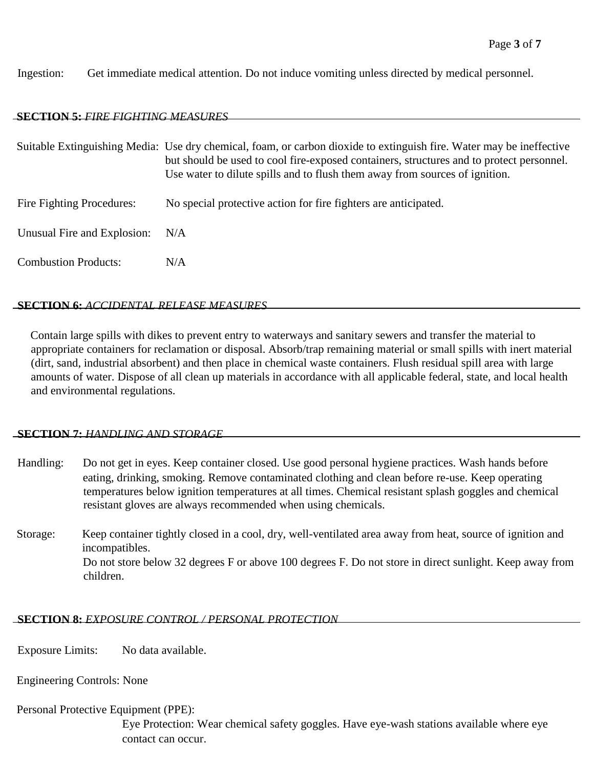Ingestion: Get immediate medical attention. Do not induce vomiting unless directed by medical personnel.

## **SECTION 5:** *FIRE FIGHTING MEASURES*

|                             | Suitable Extinguishing Media: Use dry chemical, foam, or carbon dioxide to extinguish fire. Water may be ineffective<br>but should be used to cool fire-exposed containers, structures and to protect personnel.<br>Use water to dilute spills and to flush them away from sources of ignition. |  |
|-----------------------------|-------------------------------------------------------------------------------------------------------------------------------------------------------------------------------------------------------------------------------------------------------------------------------------------------|--|
| Fire Fighting Procedures:   | No special protective action for fire fighters are anticipated.                                                                                                                                                                                                                                 |  |
| Unusual Fire and Explosion: | N/A                                                                                                                                                                                                                                                                                             |  |
| <b>Combustion Products:</b> | N/A                                                                                                                                                                                                                                                                                             |  |

## **SECTION 6:** *ACCIDENTAL RELEASE MEASURES*

Contain large spills with dikes to prevent entry to waterways and sanitary sewers and transfer the material to appropriate containers for reclamation or disposal. Absorb/trap remaining material or small spills with inert material (dirt, sand, industrial absorbent) and then place in chemical waste containers. Flush residual spill area with large amounts of water. Dispose of all clean up materials in accordance with all applicable federal, state, and local health and environmental regulations.

## **SECTION 7:** *HANDLING AND STORAGE*

- Handling: Do not get in eyes. Keep container closed. Use good personal hygiene practices. Wash hands before eating, drinking, smoking. Remove contaminated clothing and clean before re-use. Keep operating temperatures below ignition temperatures at all times. Chemical resistant splash goggles and chemical resistant gloves are always recommended when using chemicals.
- Storage: Keep container tightly closed in a cool, dry, well-ventilated area away from heat, source of ignition and incompatibles. Do not store below 32 degrees F or above 100 degrees F. Do not store in direct sunlight. Keep away from children.

## **SECTION 8:** *EXPOSURE CONTROL / PERSONAL PROTECTION*

Exposure Limits: No data available.

Engineering Controls: None

Personal Protective Equipment (PPE):

Eye Protection: Wear chemical safety goggles. Have eye-wash stations available where eye contact can occur.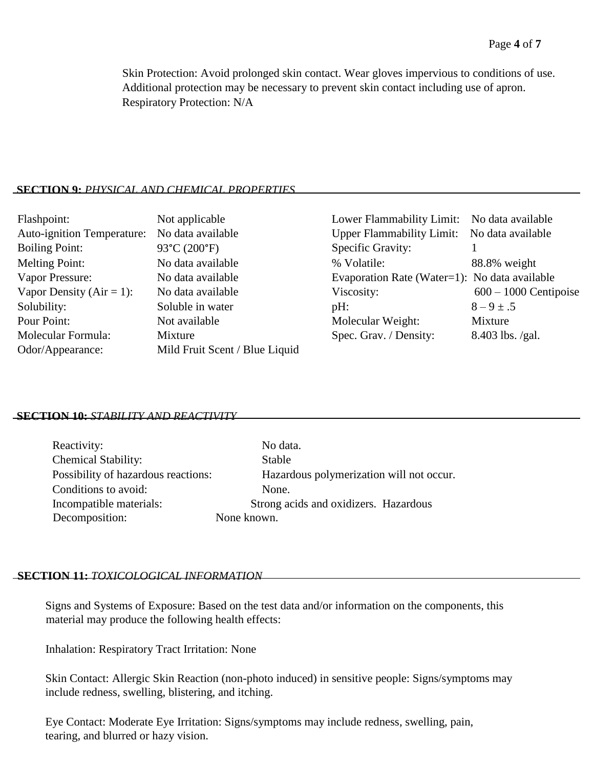Skin Protection: Avoid prolonged skin contact. Wear gloves impervious to conditions of use. Additional protection may be necessary to prevent skin contact including use of apron. Respiratory Protection: N/A

## **SECTION 9:** *PHYSICAL AND CHEMICAL PROPERTIES*

| Flashpoint:                       | Not applicable                 | Lower Flammability Limit: No data available   |                         |
|-----------------------------------|--------------------------------|-----------------------------------------------|-------------------------|
| <b>Auto-ignition Temperature:</b> | No data available              | Upper Flammability Limit: No data available   |                         |
| <b>Boiling Point:</b>             | 93°C (200°F)                   | Specific Gravity:                             |                         |
| Melting Point:                    | No data available              | % Volatile:                                   | 88.8% weight            |
| Vapor Pressure:                   | No data available              | Evaporation Rate (Water=1): No data available |                         |
| Vapor Density ( $Air = 1$ ):      | No data available              | Viscosity:                                    | $600 - 1000$ Centipoise |
| Solubility:                       | Soluble in water               | pH:                                           | $8 - 9 \pm .5$          |
| Pour Point:                       | Not available                  | Molecular Weight:                             | Mixture                 |
| Molecular Formula:                | Mixture                        | Spec. Grav. / Density:                        | $8.403$ lbs. /gal.      |
| Odor/Appearance:                  | Mild Fruit Scent / Blue Liquid |                                               |                         |

## **SECTION 10:** *STABILITY AND REACTIVITY*

| Reactivity:                         | No dat      |
|-------------------------------------|-------------|
| <b>Chemical Stability:</b>          | Stable      |
| Possibility of hazardous reactions: | Hazard      |
| Conditions to avoid:                | None.       |
| Incompatible materials:             | Strong ac   |
| Decomposition:                      | None known. |

No data. Stable Hazardous polymerization will not occur. Strong acids and oxidizers. Hazardous None known.

## **SECTION 11:** *TOXICOLOGICAL INFORMATION*

Signs and Systems of Exposure: Based on the test data and/or information on the components, this material may produce the following health effects:

Inhalation: Respiratory Tract Irritation: None

Skin Contact: Allergic Skin Reaction (non-photo induced) in sensitive people: Signs/symptoms may include redness, swelling, blistering, and itching.

Eye Contact: Moderate Eye Irritation: Signs/symptoms may include redness, swelling, pain, tearing, and blurred or hazy vision.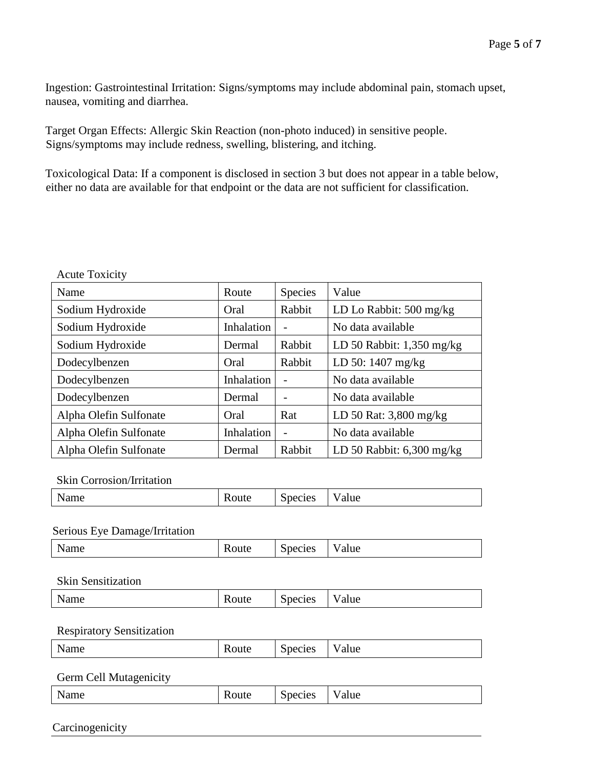Ingestion: Gastrointestinal Irritation: Signs/symptoms may include abdominal pain, stomach upset, nausea, vomiting and diarrhea.

Target Organ Effects: Allergic Skin Reaction (non-photo induced) in sensitive people. Signs/symptoms may include redness, swelling, blistering, and itching.

Toxicological Data: If a component is disclosed in section 3 but does not appear in a table below, either no data are available for that endpoint or the data are not sufficient for classification.

| Name                   | Route      | <b>Species</b> | Value                       |
|------------------------|------------|----------------|-----------------------------|
| Sodium Hydroxide       | Oral       | Rabbit         | LD Lo Rabbit: 500 mg/kg     |
| Sodium Hydroxide       | Inhalation |                | No data available           |
| Sodium Hydroxide       | Dermal     | Rabbit         | LD 50 Rabbit: $1,350$ mg/kg |
| Dodecylbenzen          | Oral       | Rabbit         | LD 50: $1407 \text{ mg/kg}$ |
| Dodecylbenzen          | Inhalation |                | No data available           |
| Dodecylbenzen          | Dermal     |                | No data available           |
| Alpha Olefin Sulfonate | Oral       | Rat            | LD 50 Rat: 3,800 mg/kg      |
| Alpha Olefin Sulfonate | Inhalation |                | No data available           |
| Alpha Olefin Sulfonate | Dermal     | Rabbit         | LD 50 Rabbit: $6,300$ mg/kg |

Skin Corrosion/Irritation

Acute Toxicity

| N<br><b>Name</b> | ulc | $\sim$ $\sim$<br>cies | alue<br> |
|------------------|-----|-----------------------|----------|
|                  |     |                       |          |

Serious Eye Damage/Irritation

| $\mathbf{N}^{\mathbf{r}}$<br>.<br>Name | ----<br>oute<br>. . | 010c<br>JCLICS<br>◡ | - -<br>alue |
|----------------------------------------|---------------------|---------------------|-------------|
|                                        |                     |                     |             |

Skin Sensitization

| Name | Koute | $\tilde{\phantom{a}}$<br>pecies | - -<br>alue<br>v |
|------|-------|---------------------------------|------------------|
|      |       |                                 |                  |

Respiratory Sensitization

| Name | <b>Route</b> | $\tilde{\phantom{a}}$<br>Species | alue |
|------|--------------|----------------------------------|------|
|      |              |                                  |      |

#### Germ Cell Mutagenicity

| <b>N</b> T<br>ame | .oute<br>. .<br>ĸ | pecies<br>ມະ | alue<br>`` |
|-------------------|-------------------|--------------|------------|
|-------------------|-------------------|--------------|------------|

Carcinogenicity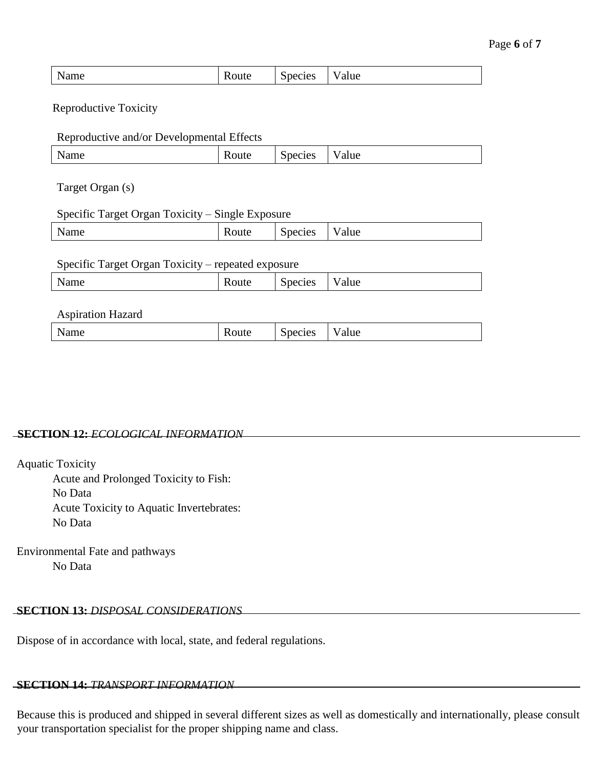| N<br>$-1 - 1$<br>Name | xoute | --<br>Species | $ -$<br>'alue |
|-----------------------|-------|---------------|---------------|
|-----------------------|-------|---------------|---------------|

Reproductive Toxicity

#### Reproductive and/or Developmental Effects

| __   |              |         |           |
|------|--------------|---------|-----------|
| Name | <b>Route</b> | Species | alue<br>v |
|      |              |         |           |

Target Organ (s)

#### Specific Target Organ Toxicity – Single Exposure

| __<br>___<br>__<br>__    | ___<br>______ |                                                        |      |
|--------------------------|---------------|--------------------------------------------------------|------|
| <b>NT</b><br><b>Name</b> | oult          | $\tilde{\phantom{a}}$<br>$\sim$ $\sim$<br>ecies<br>ъe, | alue |
|                          |               |                                                        |      |

#### Specific Target Organ Toxicity – repeated exposure

|--|

#### Aspiration Hazard

| Name | Route | $\sim$<br>$\alpha$<br>roo iyo<br>∼ | alue |
|------|-------|------------------------------------|------|
|      |       |                                    |      |

## **SECTION 12:** *ECOLOGICAL INFORMATION*

Aquatic Toxicity

Acute and Prolonged Toxicity to Fish: No Data Acute Toxicity to Aquatic Invertebrates: No Data

Environmental Fate and pathways No Data

## **SECTION 13:** *DISPOSAL CONSIDERATIONS*

Dispose of in accordance with local, state, and federal regulations.

## **SECTION 14:** *TRANSPORT INFORMATION*

Because this is produced and shipped in several different sizes as well as domestically and internationally, please consult your transportation specialist for the proper shipping name and class.